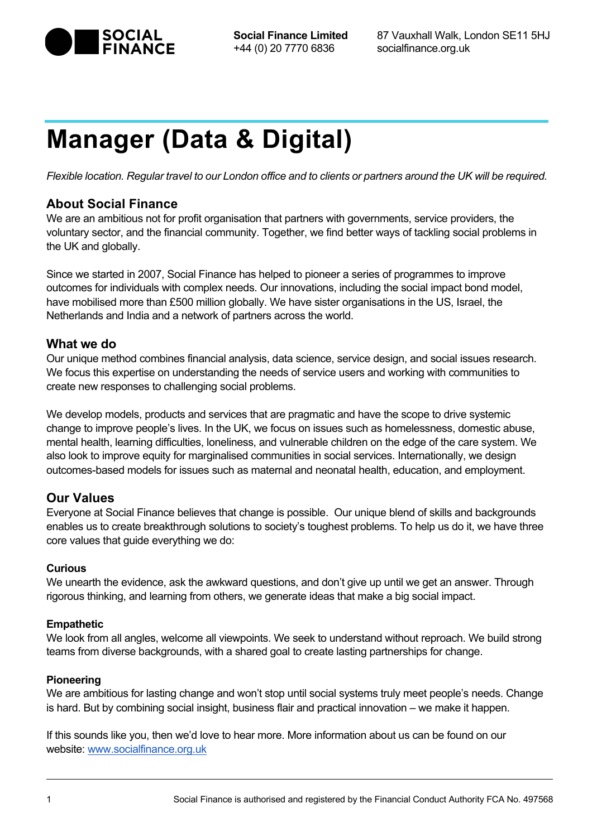

# **Manager (Data & Digital)**

*Flexible location. Regular travel to our London office and to clients or partners around the UK will be required.*

## **About Social Finance**

We are an ambitious not for profit organisation that partners with governments, service providers, the voluntary sector, and the financial community. Together, we find better ways of tackling social problems in the UK and globally.

Since we started in 2007, Social Finance has helped to pioneer a series of programmes to improve outcomes for individuals with complex needs. Our innovations, including the social impact bond model, have mobilised more than £500 million globally. We have sister organisations in the US, Israel, the Netherlands and India and a network of partners across the world.

### **What we do**

Our unique method combines financial analysis, data science, service design, and social issues research. We focus this expertise on understanding the needs of service users and working with communities to create new responses to challenging social problems.

We develop models, products and services that are pragmatic and have the scope to drive systemic change to improve people's lives. In the UK, we focus on issues such as homelessness, domestic abuse, mental health, learning difficulties, loneliness, and vulnerable children on the edge of the care system. We also look to improve equity for marginalised communities in social services. Internationally, we design outcomes-based models for issues such as maternal and neonatal health, education, and employment.

## **Our Values**

Everyone at Social Finance believes that change is possible. Our unique blend of skills and backgrounds enables us to create breakthrough solutions to society's toughest problems. To help us do it, we have three core values that guide everything we do:

#### **Curious**

We unearth the evidence, ask the awkward questions, and don't give up until we get an answer. Through rigorous thinking, and learning from others, we generate ideas that make a big social impact.

#### **Empathetic**

We look from all angles, welcome all viewpoints. We seek to understand without reproach. We build strong teams from diverse backgrounds, with a shared goal to create lasting partnerships for change.

#### **Pioneering**

We are ambitious for lasting change and won't stop until social systems truly meet people's needs. Change is hard. But by combining social insight, business flair and practical innovation – we make it happen.

If this sounds like you, then we'd love to hear more. More information about us can be found on our website: www.socialfinance.org.uk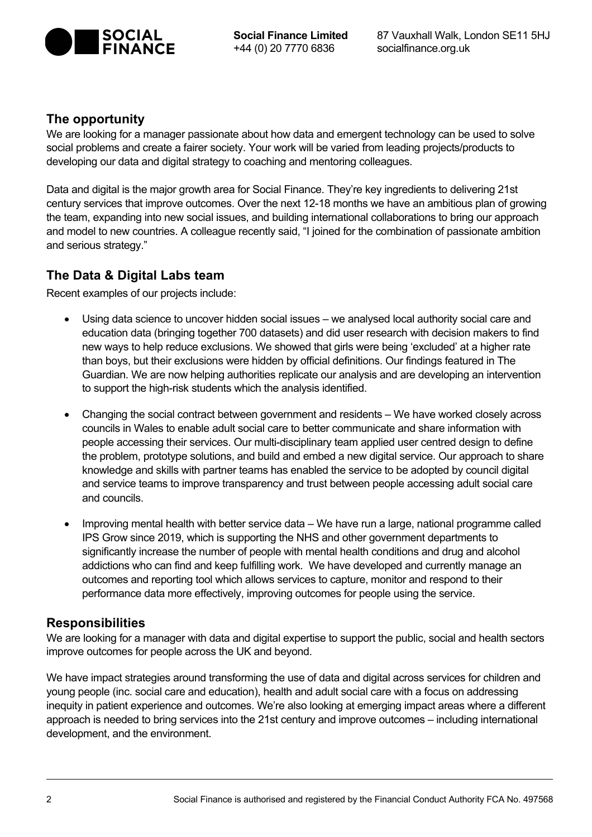

# **The opportunity**

We are looking for a manager passionate about how data and emergent technology can be used to solve social problems and create a fairer society. Your work will be varied from leading projects/products to developing our data and digital strategy to coaching and mentoring colleagues.

Data and digital is the major growth area for Social Finance. They're key ingredients to delivering 21st century services that improve outcomes. Over the next 12-18 months we have an ambitious plan of growing the team, expanding into new social issues, and building international collaborations to bring our approach and model to new countries. A colleague recently said, "I joined for the combination of passionate ambition and serious strategy."

# **The Data & Digital Labs team**

Recent examples of our projects include:

- Using data science to uncover hidden social issues we analysed local authority social care and education data (bringing together 700 datasets) and did user research with decision makers to find new ways to help reduce exclusions. We showed that girls were being 'excluded' at a higher rate than boys, but their exclusions were hidden by official definitions. Our findings featured in The Guardian. We are now helping authorities replicate our analysis and are developing an intervention to support the high-risk students which the analysis identified.
- Changing the social contract between government and residents We have worked closely across councils in Wales to enable adult social care to better communicate and share information with people accessing their services. Our multi-disciplinary team applied user centred design to define the problem, prototype solutions, and build and embed a new digital service. Our approach to share knowledge and skills with partner teams has enabled the service to be adopted by council digital and service teams to improve transparency and trust between people accessing adult social care and councils.
- Improving mental health with better service data We have run a large, national programme called IPS Grow since 2019, which is supporting the NHS and other government departments to significantly increase the number of people with mental health conditions and drug and alcohol addictions who can find and keep fulfilling work. We have developed and currently manage an outcomes and reporting tool which allows services to capture, monitor and respond to their performance data more effectively, improving outcomes for people using the service.

# **Responsibilities**

We are looking for a manager with data and digital expertise to support the public, social and health sectors improve outcomes for people across the UK and beyond.

We have impact strategies around transforming the use of data and digital across services for children and young people (inc. social care and education), health and adult social care with a focus on addressing inequity in patient experience and outcomes. We're also looking at emerging impact areas where a different approach is needed to bring services into the 21st century and improve outcomes – including international development, and the environment.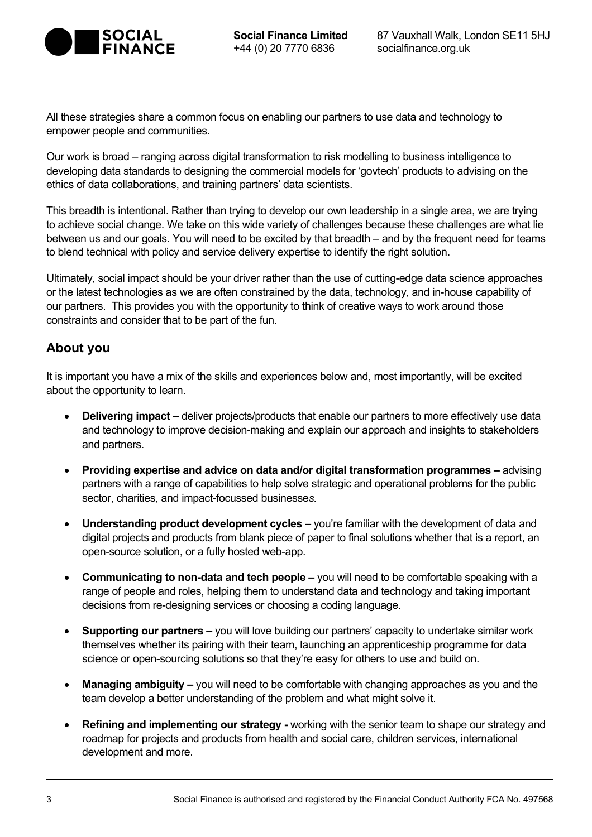

All these strategies share a common focus on enabling our partners to use data and technology to empower people and communities.

Our work is broad – ranging across digital transformation to risk modelling to business intelligence to developing data standards to designing the commercial models for 'govtech' products to advising on the ethics of data collaborations, and training partners' data scientists.

This breadth is intentional. Rather than trying to develop our own leadership in a single area, we are trying to achieve social change. We take on this wide variety of challenges because these challenges are what lie between us and our goals. You will need to be excited by that breadth – and by the frequent need for teams to blend technical with policy and service delivery expertise to identify the right solution.

Ultimately, social impact should be your driver rather than the use of cutting-edge data science approaches or the latest technologies as we are often constrained by the data, technology, and in-house capability of our partners. This provides you with the opportunity to think of creative ways to work around those constraints and consider that to be part of the fun.

## **About you**

It is important you have a mix of the skills and experiences below and, most importantly, will be excited about the opportunity to learn.

- **Delivering impact –** deliver projects/products that enable our partners to more effectively use data and technology to improve decision-making and explain our approach and insights to stakeholders and partners.
- **Providing expertise and advice on data and/or digital transformation programmes –** advising partners with a range of capabilities to help solve strategic and operational problems for the public sector, charities, and impact-focussed businesse*s.*
- **Understanding product development cycles –** you're familiar with the development of data and digital projects and products from blank piece of paper to final solutions whether that is a report, an open-source solution, or a fully hosted web-app.
- **Communicating to non-data and tech people –** you will need to be comfortable speaking with a range of people and roles, helping them to understand data and technology and taking important decisions from re-designing services or choosing a coding language.
- **Supporting our partners –** you will love building our partners' capacity to undertake similar work themselves whether its pairing with their team, launching an apprenticeship programme for data science or open-sourcing solutions so that they're easy for others to use and build on.
- **Managing ambiguity –** you will need to be comfortable with changing approaches as you and the team develop a better understanding of the problem and what might solve it.
- **Refining and implementing our strategy -** working with the senior team to shape our strategy and roadmap for projects and products from health and social care, children services, international development and more.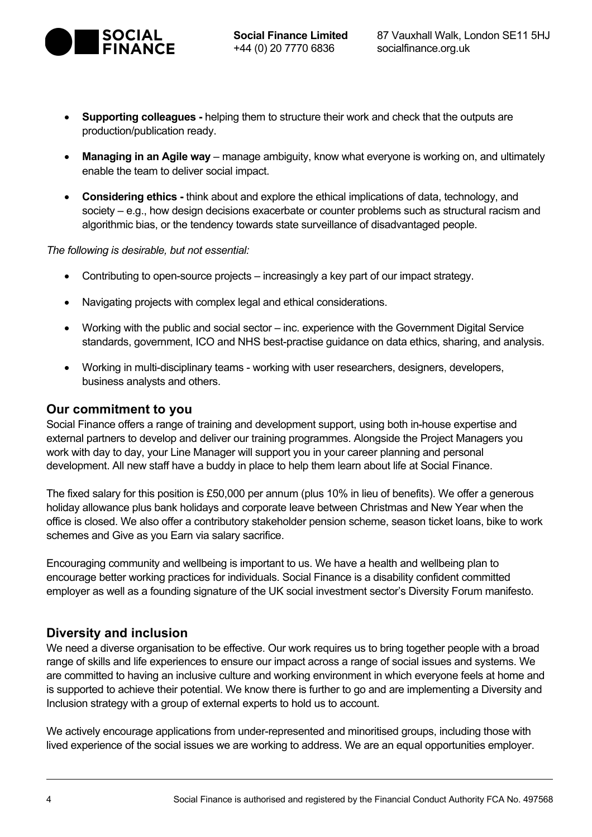

- **Supporting colleagues -** helping them to structure their work and check that the outputs are production/publication ready.
- **Managing in an Agile way** manage ambiguity, know what everyone is working on, and ultimately enable the team to deliver social impact.
- **Considering ethics -** think about and explore the ethical implications of data, technology, and society – e.g., how design decisions exacerbate or counter problems such as structural racism and algorithmic bias, or the tendency towards state surveillance of disadvantaged people.

*The following is desirable, but not essential:*

- Contributing to open-source projects increasingly a key part of our impact strategy.
- Navigating projects with complex legal and ethical considerations.
- Working with the public and social sector inc. experience with the Government Digital Service standards, government, ICO and NHS best-practise guidance on data ethics, sharing, and analysis.
- Working in multi-disciplinary teams working with user researchers, designers, developers, business analysts and others.

#### **Our commitment to you**

Social Finance offers a range of training and development support, using both in-house expertise and external partners to develop and deliver our training programmes. Alongside the Project Managers you work with day to day, your Line Manager will support you in your career planning and personal development. All new staff have a buddy in place to help them learn about life at Social Finance.

The fixed salary for this position is £50,000 per annum (plus 10% in lieu of benefits). We offer a generous holiday allowance plus bank holidays and corporate leave between Christmas and New Year when the office is closed. We also offer a contributory stakeholder pension scheme, season ticket loans, bike to work schemes and Give as you Earn via salary sacrifice.

Encouraging community and wellbeing is important to us. We have a health and wellbeing plan to encourage better working practices for individuals. Social Finance is a disability confident committed employer as well as a founding signature of the UK social investment sector's Diversity Forum manifesto.

#### **Diversity and inclusion**

We need a diverse organisation to be effective. Our work requires us to bring together people with a broad range of skills and life experiences to ensure our impact across a range of social issues and systems. We are committed to having an inclusive culture and working environment in which everyone feels at home and is supported to achieve their potential. We know there is further to go and are implementing a Diversity and Inclusion strategy with a group of external experts to hold us to account.

We actively encourage applications from under-represented and minoritised groups, including those with lived experience of the social issues we are working to address. We are an equal opportunities employer.